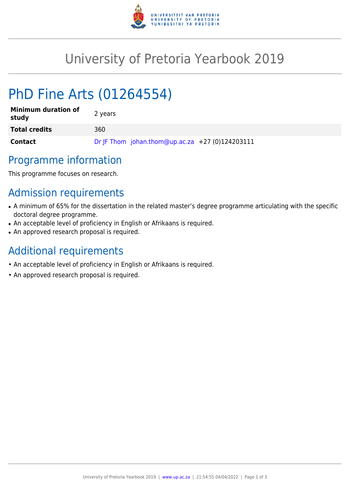

# University of Pretoria Yearbook 2019

# PhD Fine Arts (01264554)

| <b>Minimum duration of</b><br>study | 2 years                                         |
|-------------------------------------|-------------------------------------------------|
| <b>Total credits</b>                | 360                                             |
| Contact                             | Dr JF Thom johan.thom@up.ac.za +27 (0)124203111 |

## Programme information

This programme focuses on research.

## Admission requirements

- A minimum of 65% for the dissertation in the related master's degree programme articulating with the specific doctoral degree programme.
- An acceptable level of proficiency in English or Afrikaans is required.
- An approved research proposal is required.

## Additional requirements

- An acceptable level of proficiency in English or Afrikaans is required.
- An approved research proposal is required.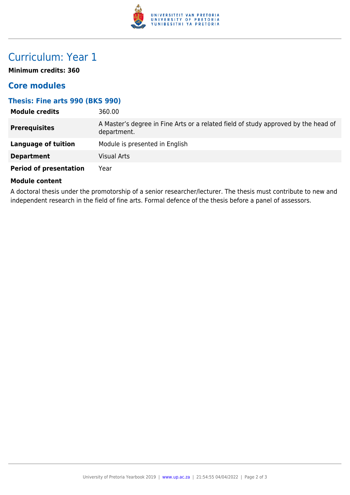

## Curriculum: Year 1

**Minimum credits: 360**

### **Core modules**

#### **Thesis: Fine arts 990 (BKS 990)**

| <b>Module credits</b>         | 360.00                                                                                            |
|-------------------------------|---------------------------------------------------------------------------------------------------|
| <b>Prerequisites</b>          | A Master's degree in Fine Arts or a related field of study approved by the head of<br>department. |
| Language of tuition           | Module is presented in English                                                                    |
| <b>Department</b>             | <b>Visual Arts</b>                                                                                |
| <b>Period of presentation</b> | Year                                                                                              |

#### **Module content**

A doctoral thesis under the promotorship of a senior researcher/lecturer. The thesis must contribute to new and independent research in the field of fine arts. Formal defence of the thesis before a panel of assessors.